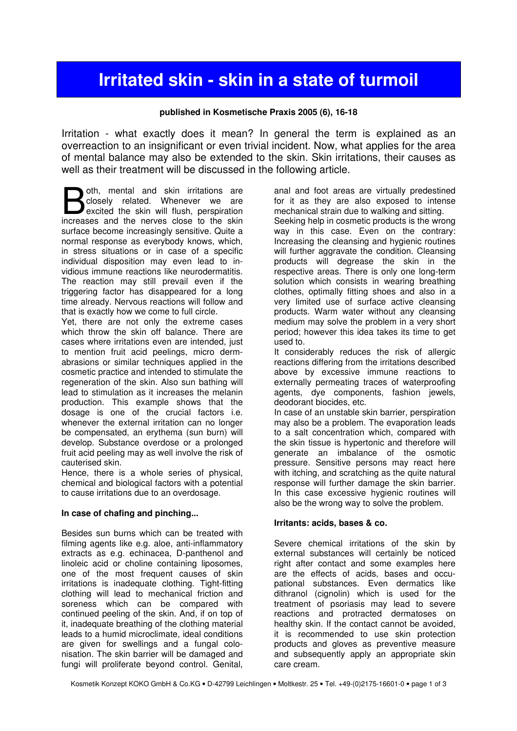# Irritated skin - skin in a state of turmoil

### published in Kosmetische Praxis 2005 (6), 16-18

Irritation - what exactly does it mean? In general the term is explained as an overreaction to an insignificant or even trivial incident. Now, what applies for the area of mental balance may also be extended to the skin. Skin irritations, their causes as well as their treatment will be discussed in the following article.

oth, mental and skin irritations are closely related. Whenever we are excited the skin will flush, perspiration **B** oth, mental and skin irritations are closely related. Whenever we are excited the skin will flush, perspiration increases and the nerves close to the skin surface become increasingly sensitive. Quite a normal response as everybody knows, which, in stress situations or in case of a specific individual disposition may even lead to invidious immune reactions like neurodermatitis. The reaction may still prevail even if the triggering factor has disappeared for a long time already. Nervous reactions will follow and that is exactly how we come to full circle.

Yet, there are not only the extreme cases which throw the skin off balance. There are cases where irritations even are intended, just to mention fruit acid peelings, micro dermabrasions or similar techniques applied in the cosmetic practice and intended to stimulate the regeneration of the skin. Also sun bathing will lead to stimulation as it increases the melanin production. This example shows that the dosage is one of the crucial factors i.e. whenever the external irritation can no longer be compensated, an erythema (sun burn) will develop. Substance overdose or a prolonged fruit acid peeling may as well involve the risk of cauterised skin.

Hence, there is a whole series of physical, chemical and biological factors with a potential to cause irritations due to an overdosage.

#### In case of chafing and pinching...

Besides sun burns which can be treated with filming agents like e.g. aloe, anti-inflammatory extracts as e.g. echinacea, D-panthenol and linoleic acid or choline containing liposomes. one of the most frequent causes of skin irritations is inadequate clothing. Tight-fitting clothing will lead to mechanical friction and soreness which can be compared with continued peeling of the skin. And, if on top of it, inadequate breathing of the clothing material leads to a humid microclimate, ideal conditions are given for swellings and a fungal colonisation. The skin barrier will be damaged and fungi will proliferate beyond control. Genital,

anal and foot areas are virtually predestined for it as they are also exposed to intense mechanical strain due to walking and sitting. Seeking help in cosmetic products is the wrong way in this case. Even on the contrary: Increasing the cleansing and hygienic routines will further aggravate the condition. Cleansing products will degrease the skin in the respective areas. There is only one long-term solution which consists in wearing breathing clothes, optimally fitting shoes and also in a very limited use of surface active cleansing products. Warm water without any cleansing medium may solve the problem in a very short period; however this idea takes its time to get

used to. It considerably reduces the risk of allergic reactions differing from the irritations described above by excessive immune reactions to externally permeating traces of waterproofing agents, dye components, fashion jewels, deodorant biocides, etc.

In case of an unstable skin barrier, perspiration may also be a problem. The evaporation leads to a salt concentration which, compared with the skin tissue is hypertonic and therefore will generate an imbalance of the osmotic pressure. Sensitive persons may react here with itching, and scratching as the quite natural response will further damage the skin barrier. In this case excessive hygienic routines will also be the wrong way to solve the problem.

#### Irritants: acids, bases & co.

Severe chemical irritations of the skin by external substances will certainly be noticed right after contact and some examples here are the effects of acids, bases and occupational substances. Even dermatics like dithranol (cignolin) which is used for the treatment of psoriasis may lead to severe reactions and protracted dermatoses on healthy skin. If the contact cannot be avoided, it is recommended to use skin protection products and gloves as preventive measure and subsequently apply an appropriate skin care cream.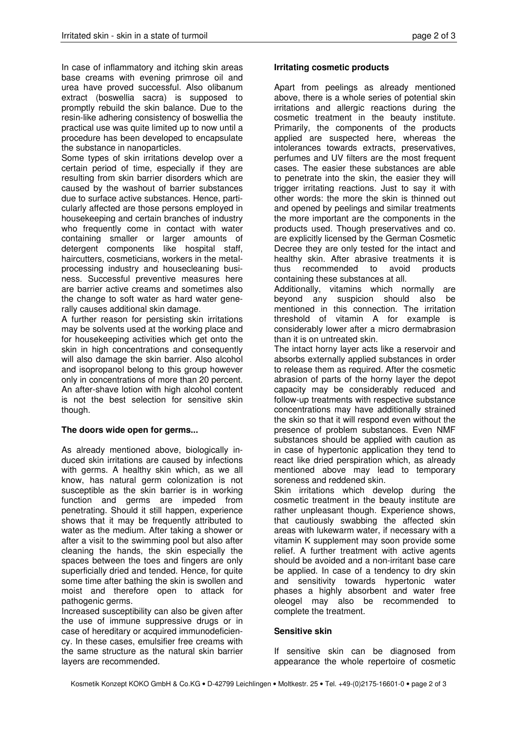In case of inflammatory and itching skin areas base creams with evening primrose oil and urea have proved successful. Also olibanum extract (boswellia sacra) is supposed to promptly rebuild the skin balance. Due to the resin-like adhering consistency of boswellia the practical use was quite limited up to now until a procedure has been developed to encapsulate the substance in nanoparticles.

Some types of skin irritations develop over a certain period of time, especially if they are resulting from skin barrier disorders which are caused by the washout of barrier substances due to surface active substances. Hence, particularly affected are those persons employed in housekeeping and certain branches of industry who frequently come in contact with water containing smaller or larger amounts of detergent components like hospital staff, haircutters, cosmeticians, workers in the metalprocessing industry and housecleaning business. Successful preventive measures here are barrier active creams and sometimes also the change to soft water as hard water generally causes additional skin damage.

A further reason for persisting skin irritations may be solvents used at the working place and for housekeeping activities which get onto the skin in high concentrations and consequently will also damage the skin barrier. Also alcohol and isopropanol belong to this group however only in concentrations of more than 20 percent. An after-shave lotion with high alcohol content is not the best selection for sensitive skin though.

#### The doors wide open for germs...

As already mentioned above, biologically induced skin irritations are caused by infections with germs. A healthy skin which, as we all know, has natural germ colonization is not susceptible as the skin barrier is in working function and germs are impeded from penetrating. Should it still happen, experience shows that it may be frequently attributed to water as the medium. After taking a shower or after a visit to the swimming pool but also after cleaning the hands, the skin especially the spaces between the toes and fingers are only superficially dried and tended. Hence, for quite some time after bathing the skin is swollen and moist and therefore open to attack for pathogenic germs.

Increased susceptibility can also be given after the use of immune suppressive drugs or in case of hereditary or acquired immunodeficiency. In these cases, emulsifier free creams with the same structure as the natural skin barrier layers are recommended.

## Irritating cosmetic products

Apart from peelings as already mentioned above, there is a whole series of potential skin irritations and allergic reactions during the cosmetic treatment in the beauty institute. Primarily, the components of the products applied are suspected here, whereas the intolerances towards extracts, preservatives, perfumes and UV filters are the most frequent cases. The easier these substances are able to penetrate into the skin, the easier they will trigger irritating reactions. Just to say it with other words: the more the skin is thinned out and opened by peelings and similar treatments the more important are the components in the products used. Though preservatives and co. are explicitly licensed by the German Cosmetic Decree they are only tested for the intact and healthy skin. After abrasive treatments it is thus recommended to avoid products containing these substances at all.

Additionally, vitamins which normally are beyond any suspicion should also be mentioned in this connection. The irritation threshold of vitamin A for example is considerably lower after a micro dermabrasion than it is on untreated skin.

The intact horny layer acts like a reservoir and absorbs externally applied substances in order to release them as required. After the cosmetic abrasion of parts of the horny layer the depot capacity may be considerably reduced and follow-up treatments with respective substance concentrations may have additionally strained the skin so that it will respond even without the presence of problem substances. Even NMF substances should be applied with caution as in case of hypertonic application they tend to react like dried perspiration which, as already mentioned above may lead to temporary soreness and reddened skin.

Skin irritations which develop during the cosmetic treatment in the beauty institute are rather unpleasant though. Experience shows, that cautiously swabbing the affected skin areas with lukewarm water, if necessary with a vitamin K supplement may soon provide some relief. A further treatment with active agents should be avoided and a non-irritant base care be applied. In case of a tendency to dry skin and sensitivity towards hypertonic water phases a highly absorbent and water free oleogel may also be recommended to complete the treatment.

#### Sensitive skin

If sensitive skin can be diagnosed from appearance the whole repertoire of cosmetic